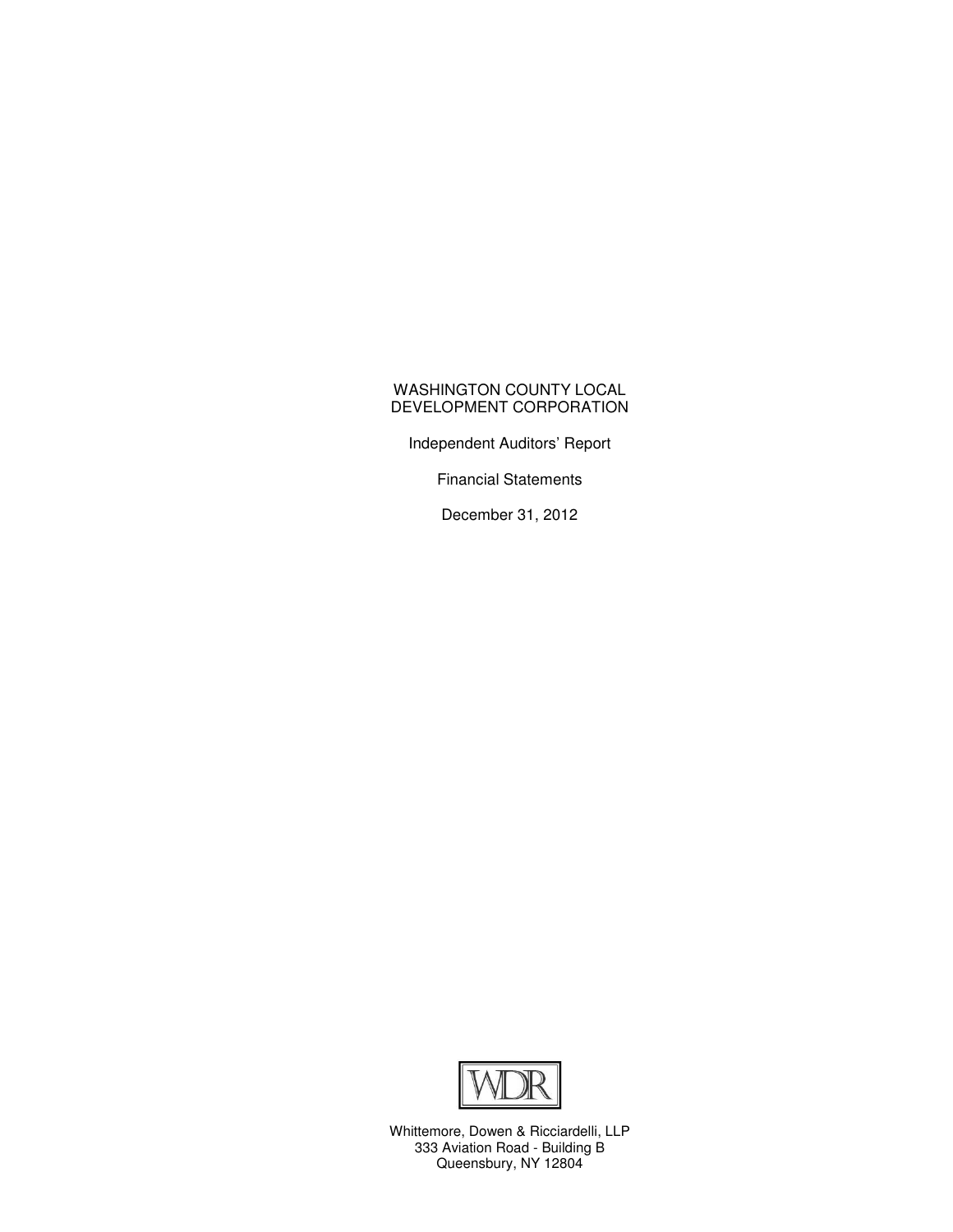Independent Auditors' Report

Financial Statements

December 31, 2012



Whittemore, Dowen & Ricciardelli, LLP 333 Aviation Road - Building B Queensbury, NY 12804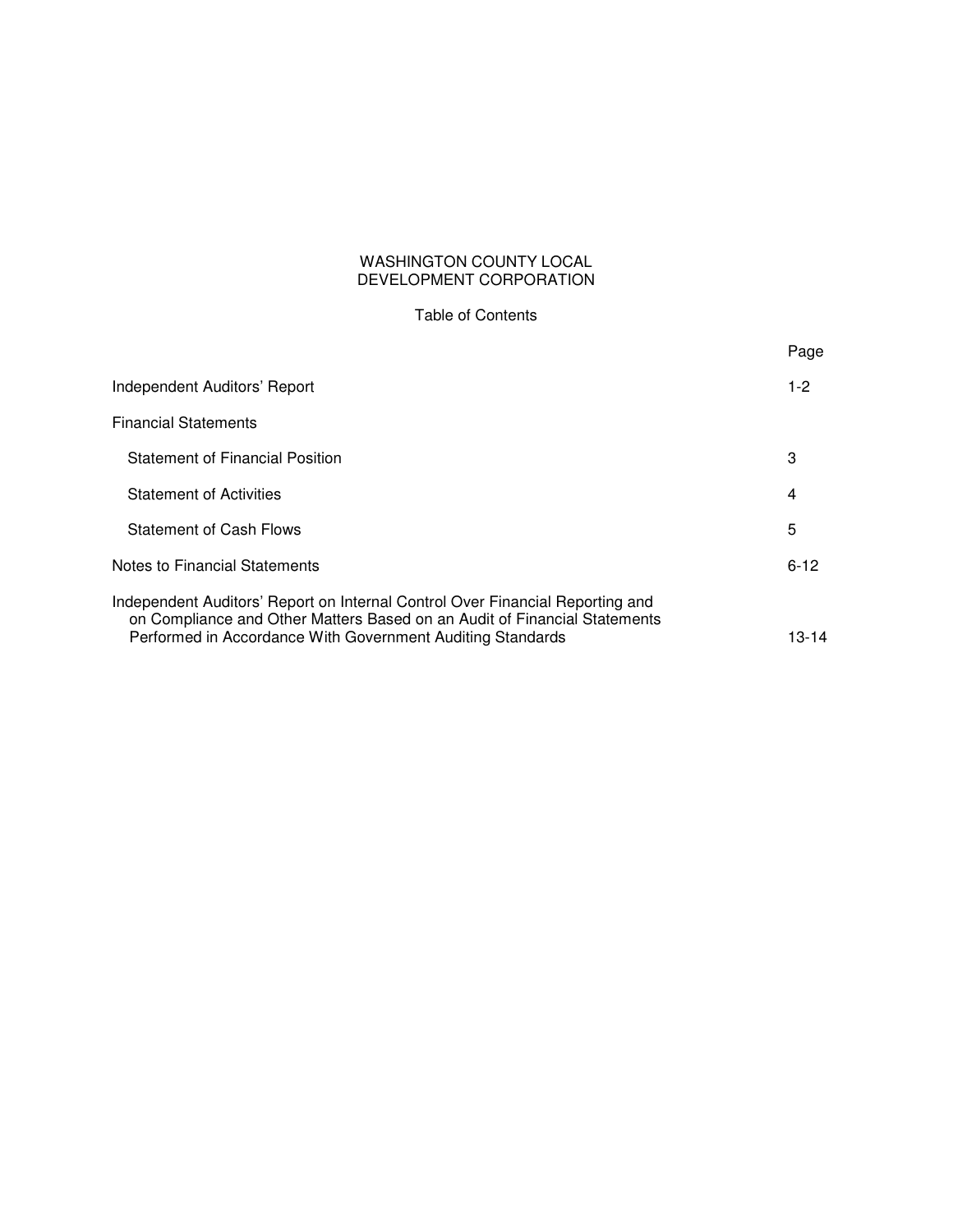## Table of Contents

|                                                                                                                                                                                                                          | Page     |
|--------------------------------------------------------------------------------------------------------------------------------------------------------------------------------------------------------------------------|----------|
| Independent Auditors' Report                                                                                                                                                                                             | $1 - 2$  |
| <b>Financial Statements</b>                                                                                                                                                                                              |          |
| <b>Statement of Financial Position</b>                                                                                                                                                                                   | 3        |
| <b>Statement of Activities</b>                                                                                                                                                                                           | 4        |
| <b>Statement of Cash Flows</b>                                                                                                                                                                                           | 5        |
| Notes to Financial Statements                                                                                                                                                                                            | $6 - 12$ |
| Independent Auditors' Report on Internal Control Over Financial Reporting and<br>on Compliance and Other Matters Based on an Audit of Financial Statements<br>Performed in Accordance With Government Auditing Standards | 13-14    |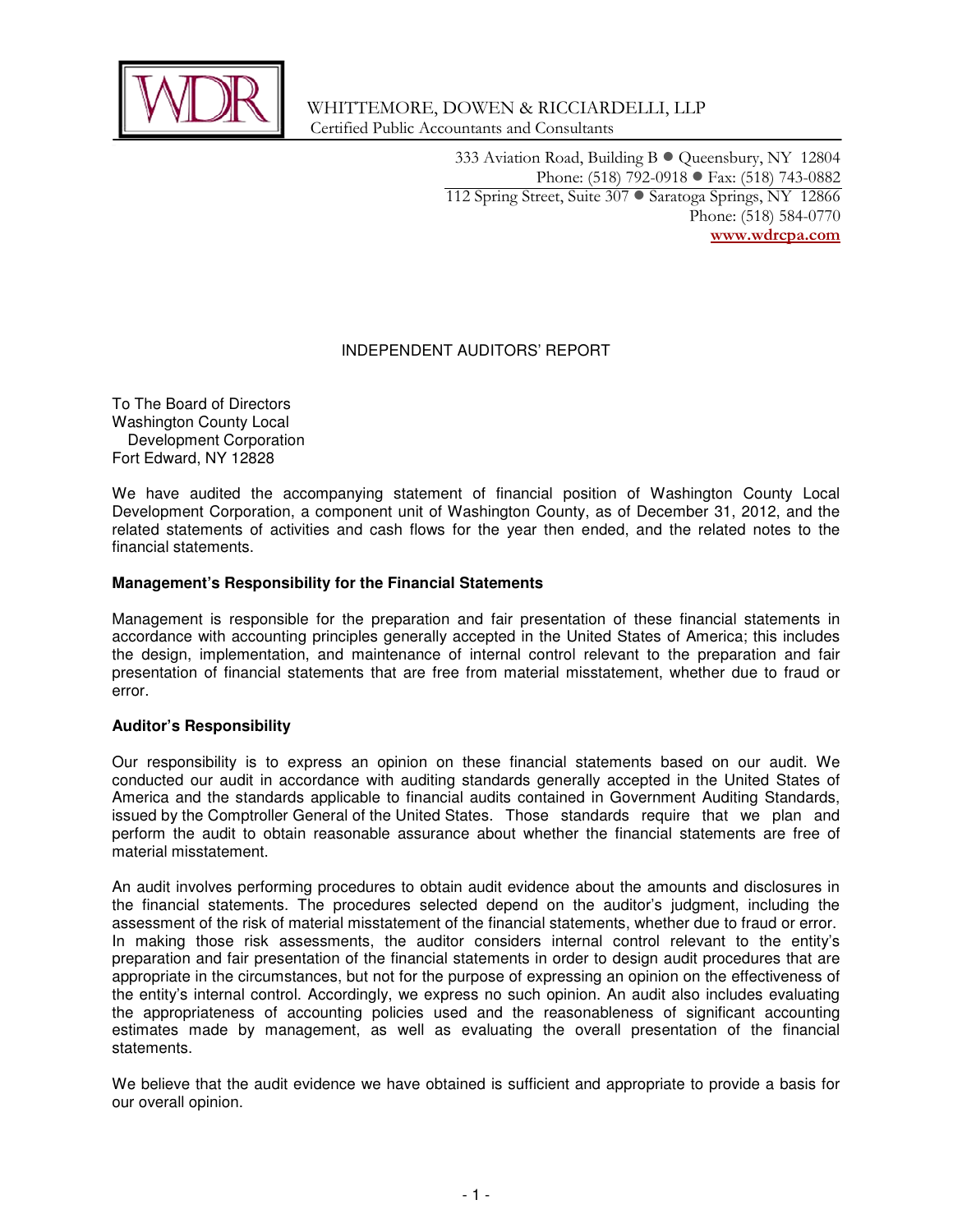

\_

 WHITTEMORE, DOWEN & RICCIARDELLI, LLP Certified Public Accountants and Consultants

> 333 Aviation Road, Building B ● Queensbury, NY 12804 Phone: (518) 792-0918 Fax: (518) 743-0882 112 Spring Street, Suite 307 Saratoga Springs, NY 12866 Phone: (518) 584-0770 www.wdrcpa.com

## INDEPENDENT AUDITORS' REPORT

To The Board of Directors Washington County Local Development Corporation Fort Edward, NY 12828

We have audited the accompanying statement of financial position of Washington County Local Development Corporation, a component unit of Washington County, as of December 31, 2012, and the related statements of activities and cash flows for the year then ended, and the related notes to the financial statements.

## **Management's Responsibility for the Financial Statements**

Management is responsible for the preparation and fair presentation of these financial statements in accordance with accounting principles generally accepted in the United States of America; this includes the design, implementation, and maintenance of internal control relevant to the preparation and fair presentation of financial statements that are free from material misstatement, whether due to fraud or error.

### **Auditor's Responsibility**

Our responsibility is to express an opinion on these financial statements based on our audit. We conducted our audit in accordance with auditing standards generally accepted in the United States of America and the standards applicable to financial audits contained in Government Auditing Standards, issued by the Comptroller General of the United States. Those standards require that we plan and perform the audit to obtain reasonable assurance about whether the financial statements are free of material misstatement.

An audit involves performing procedures to obtain audit evidence about the amounts and disclosures in the financial statements. The procedures selected depend on the auditor's judgment, including the assessment of the risk of material misstatement of the financial statements, whether due to fraud or error. In making those risk assessments, the auditor considers internal control relevant to the entity's preparation and fair presentation of the financial statements in order to design audit procedures that are appropriate in the circumstances, but not for the purpose of expressing an opinion on the effectiveness of the entity's internal control. Accordingly, we express no such opinion. An audit also includes evaluating the appropriateness of accounting policies used and the reasonableness of significant accounting estimates made by management, as well as evaluating the overall presentation of the financial statements.

We believe that the audit evidence we have obtained is sufficient and appropriate to provide a basis for our overall opinion.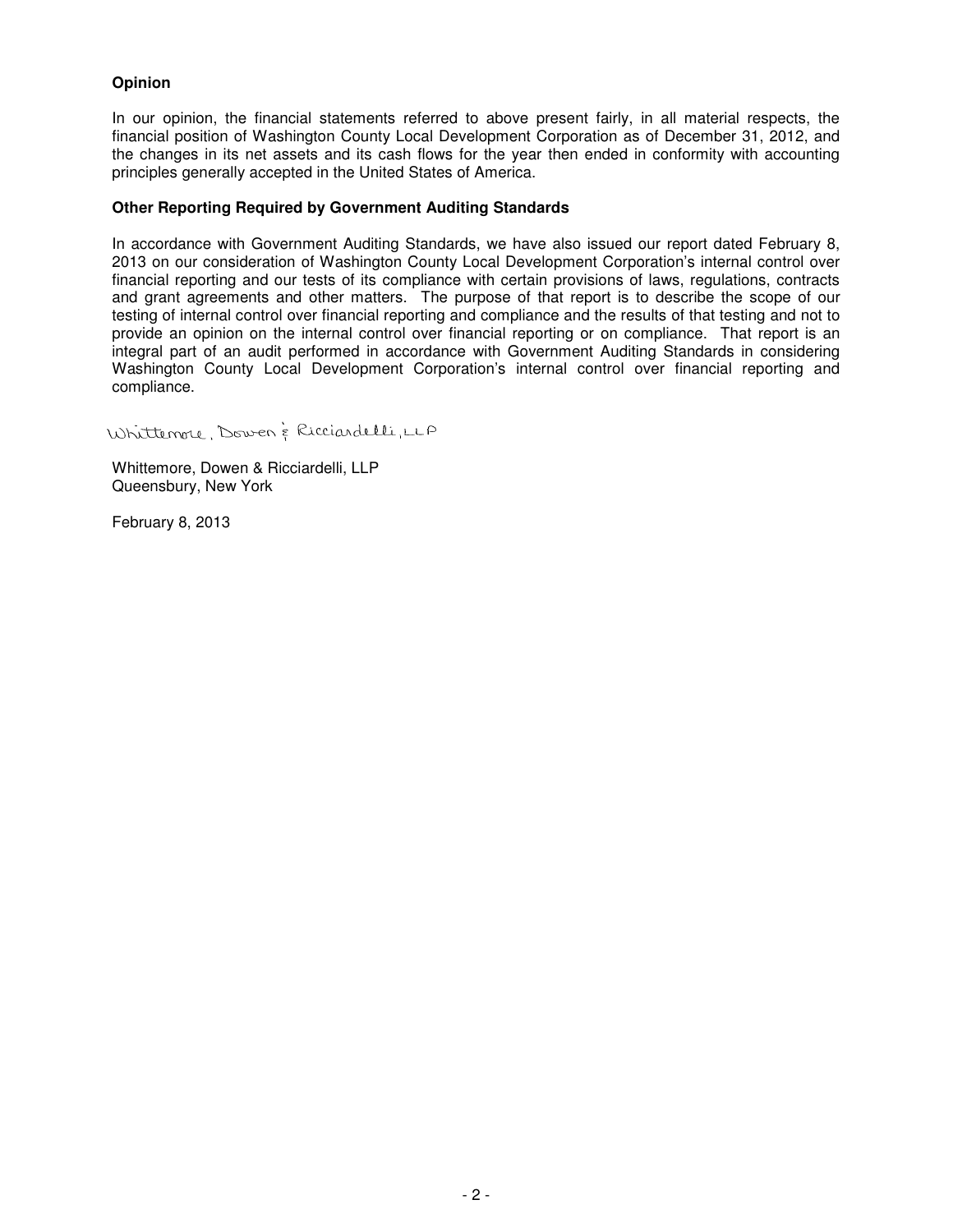## **Opinion**

In our opinion, the financial statements referred to above present fairly, in all material respects, the financial position of Washington County Local Development Corporation as of December 31, 2012, and the changes in its net assets and its cash flows for the year then ended in conformity with accounting principles generally accepted in the United States of America.

## **Other Reporting Required by Government Auditing Standards**

In accordance with Government Auditing Standards, we have also issued our report dated February 8, 2013 on our consideration of Washington County Local Development Corporation's internal control over financial reporting and our tests of its compliance with certain provisions of laws, regulations, contracts and grant agreements and other matters. The purpose of that report is to describe the scope of our testing of internal control over financial reporting and compliance and the results of that testing and not to provide an opinion on the internal control over financial reporting or on compliance. That report is an integral part of an audit performed in accordance with Government Auditing Standards in considering Washington County Local Development Corporation's internal control over financial reporting and compliance.

Whittenore, Dowen & Ricciardelli, LLP

Whittemore, Dowen & Ricciardelli, LLP Queensbury, New York

February 8, 2013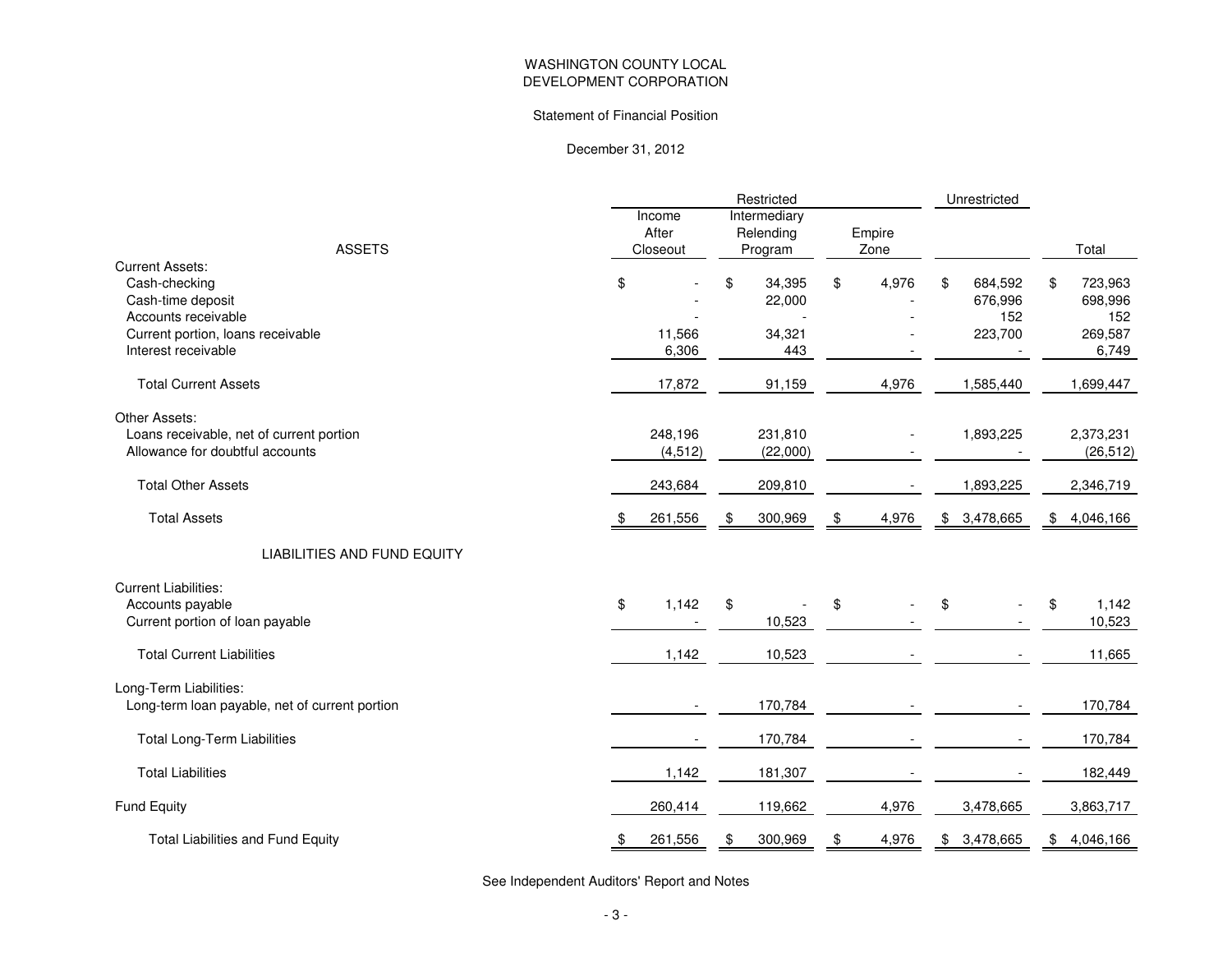#### Statement of Financial Position

December 31, 2012

|                                                |               | Restricted    |             | Unrestricted    |                 |
|------------------------------------------------|---------------|---------------|-------------|-----------------|-----------------|
|                                                | Income        | Intermediary  |             |                 |                 |
|                                                | After         | Relending     | Empire      |                 |                 |
| <b>ASSETS</b>                                  | Closeout      | Program       | Zone        |                 | Total           |
| <b>Current Assets:</b>                         |               |               |             |                 |                 |
| Cash-checking                                  | \$            | \$<br>34,395  | 4,976<br>\$ | 684,592<br>\$   | \$<br>723,963   |
| Cash-time deposit                              |               | 22,000        |             | 676,996         | 698,996         |
| Accounts receivable                            |               |               |             | 152             | 152             |
| Current portion, loans receivable              | 11,566        | 34,321        |             | 223,700         | 269,587         |
| Interest receivable                            | 6,306         | 443           |             |                 | 6,749           |
|                                                |               |               |             |                 |                 |
| <b>Total Current Assets</b>                    | 17,872        | 91,159        | 4,976       | 1,585,440       | 1,699,447       |
| Other Assets:                                  |               |               |             |                 |                 |
| Loans receivable, net of current portion       | 248,196       | 231,810       |             | 1,893,225       | 2,373,231       |
| Allowance for doubtful accounts                | (4, 512)      | (22,000)      |             |                 | (26, 512)       |
|                                                |               |               |             |                 |                 |
| <b>Total Other Assets</b>                      | 243,684       | 209,810       |             | 1,893,225       | 2,346,719       |
| <b>Total Assets</b>                            | 261,556<br>\$ | 300,969<br>\$ | 4,976<br>\$ | 3,478,665<br>\$ | \$<br>4,046,166 |
| <b>LIABILITIES AND FUND EQUITY</b>             |               |               |             |                 |                 |
|                                                |               |               |             |                 |                 |
| <b>Current Liabilities:</b>                    |               |               |             |                 |                 |
| Accounts payable                               | \$<br>1,142   | \$            | \$          | \$              | \$<br>1,142     |
| Current portion of loan payable                |               | 10,523        |             |                 | 10,523          |
| <b>Total Current Liabilities</b>               | 1,142         | 10,523        |             |                 | 11,665          |
|                                                |               |               |             |                 |                 |
| Long-Term Liabilities:                         |               |               |             |                 |                 |
| Long-term loan payable, net of current portion |               | 170,784       |             |                 | 170,784         |
|                                                |               |               |             |                 |                 |
| <b>Total Long-Term Liabilities</b>             |               | 170,784       |             |                 | 170,784         |
|                                                |               |               |             |                 |                 |
| <b>Total Liabilities</b>                       | 1,142         | 181,307       |             |                 | 182,449         |
|                                                |               |               |             |                 |                 |
| <b>Fund Equity</b>                             | 260,414       | 119,662       | 4,976       | 3,478,665       | 3,863,717       |
| <b>Total Liabilities and Fund Equity</b>       | 261,556<br>\$ | 300,969<br>\$ | 4,976<br>\$ | 3,478,665<br>\$ | \$4,046,166     |
|                                                |               |               |             |                 |                 |

See Independent Auditors' Report and Notes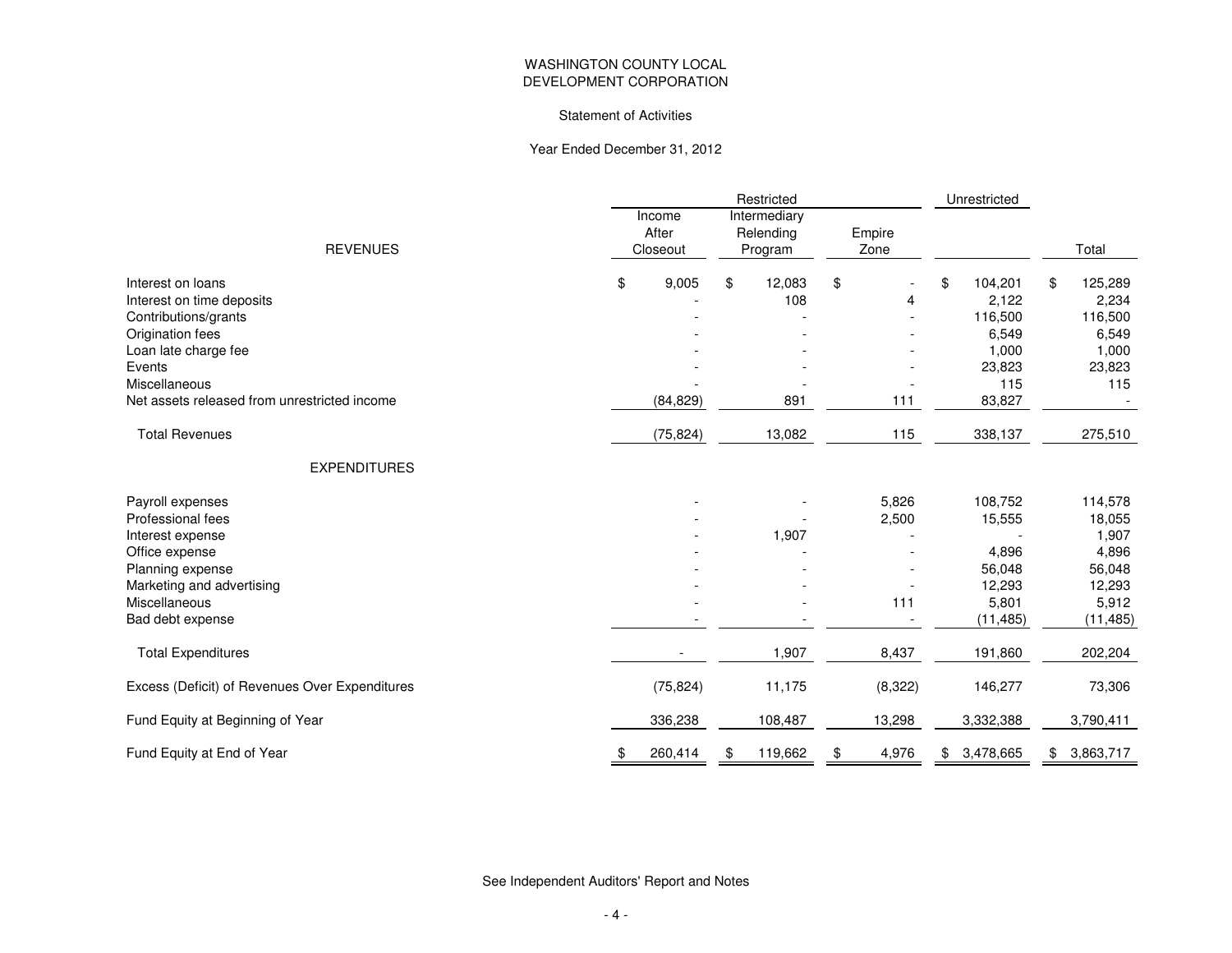#### Statement of Activities

#### Year Ended December 31, 2012

|                                                | Restricted |                             |    |                                             |    | Unrestricted   |                 |                 |
|------------------------------------------------|------------|-----------------------------|----|---------------------------------------------|----|----------------|-----------------|-----------------|
| <b>REVENUES</b>                                |            | Income<br>After<br>Closeout |    | <b>Intermediary</b><br>Relending<br>Program |    | Empire<br>Zone |                 | Total           |
| Interest on loans                              | \$         | 9,005                       | \$ | 12,083                                      | \$ |                | \$<br>104,201   | \$<br>125,289   |
| Interest on time deposits                      |            |                             |    | 108                                         |    | 4              | 2,122           | 2,234           |
| Contributions/grants                           |            |                             |    |                                             |    |                | 116,500         | 116,500         |
| Origination fees                               |            |                             |    |                                             |    |                | 6,549           | 6,549           |
| Loan late charge fee                           |            |                             |    |                                             |    |                | 1,000           | 1,000           |
| Events                                         |            |                             |    |                                             |    |                | 23,823          | 23,823          |
| Miscellaneous                                  |            |                             |    |                                             |    |                | 115             | 115             |
| Net assets released from unrestricted income   |            | (84, 829)                   |    | 891                                         |    | 111            | 83,827          |                 |
| <b>Total Revenues</b>                          |            | (75, 824)                   |    | 13,082                                      |    | 115            | 338,137         | 275,510         |
| <b>EXPENDITURES</b>                            |            |                             |    |                                             |    |                |                 |                 |
| Payroll expenses                               |            |                             |    |                                             |    | 5,826          | 108,752         | 114,578         |
| Professional fees                              |            |                             |    |                                             |    | 2,500          | 15,555          | 18,055          |
| Interest expense                               |            |                             |    | 1,907                                       |    |                |                 | 1,907           |
| Office expense                                 |            |                             |    |                                             |    |                | 4,896           | 4,896           |
| Planning expense                               |            |                             |    |                                             |    |                | 56,048          | 56,048          |
| Marketing and advertising                      |            |                             |    |                                             |    |                | 12,293          | 12,293          |
| Miscellaneous                                  |            |                             |    |                                             |    | 111            | 5,801           | 5,912           |
| Bad debt expense                               |            |                             |    |                                             |    |                | (11, 485)       | (11, 485)       |
| <b>Total Expenditures</b>                      |            |                             |    | 1,907                                       |    | 8,437          | 191,860         | 202,204         |
| Excess (Deficit) of Revenues Over Expenditures |            | (75, 824)                   |    | 11,175                                      |    | (8,322)        | 146,277         | 73,306          |
| Fund Equity at Beginning of Year               |            | 336,238                     |    | 108,487                                     |    | 13,298         | 3,332,388       | 3,790,411       |
| Fund Equity at End of Year                     | \$         | 260,414                     |    | 119,662                                     | \$ | 4,976          | \$<br>3,478,665 | \$<br>3,863,717 |

See Independent Auditors' Report and Notes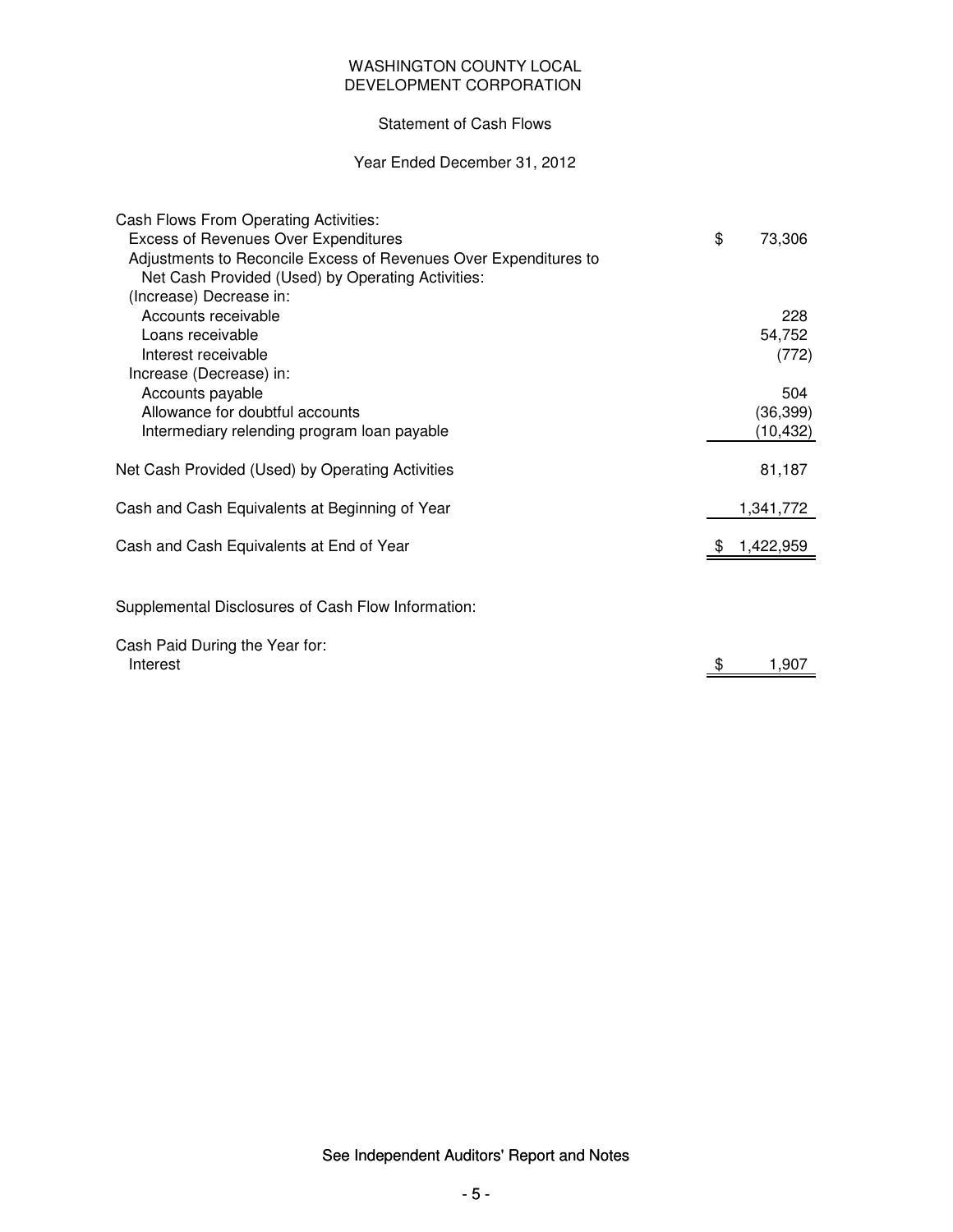## DEVELOPMENT CORPORATION WASHINGTON COUNTY LOCAL

## Statement of Cash Flows

## Year Ended December 31, 2012

| Cash Flows From Operating Activities:                            |              |
|------------------------------------------------------------------|--------------|
| <b>Excess of Revenues Over Expenditures</b>                      | \$<br>73,306 |
| Adjustments to Reconcile Excess of Revenues Over Expenditures to |              |
| Net Cash Provided (Used) by Operating Activities:                |              |
| (Increase) Decrease in:                                          |              |
| Accounts receivable                                              | 228          |
| Loans receivable                                                 | 54,752       |
| Interest receivable                                              | (772)        |
| Increase (Decrease) in:                                          |              |
| Accounts payable                                                 | 504          |
| Allowance for doubtful accounts                                  | (36, 399)    |
| Intermediary relending program loan payable                      | (10,432)     |
| Net Cash Provided (Used) by Operating Activities                 | 81,187       |
| Cash and Cash Equivalents at Beginning of Year                   | 1,341,772    |
| Cash and Cash Equivalents at End of Year                         | 1,422,959    |
|                                                                  |              |
| Supplemental Disclosures of Cash Flow Information:               |              |
| Cash Paid During the Year for:                                   |              |
| Interest                                                         | \$<br>1,907  |

See Independent Auditors' Report and Notes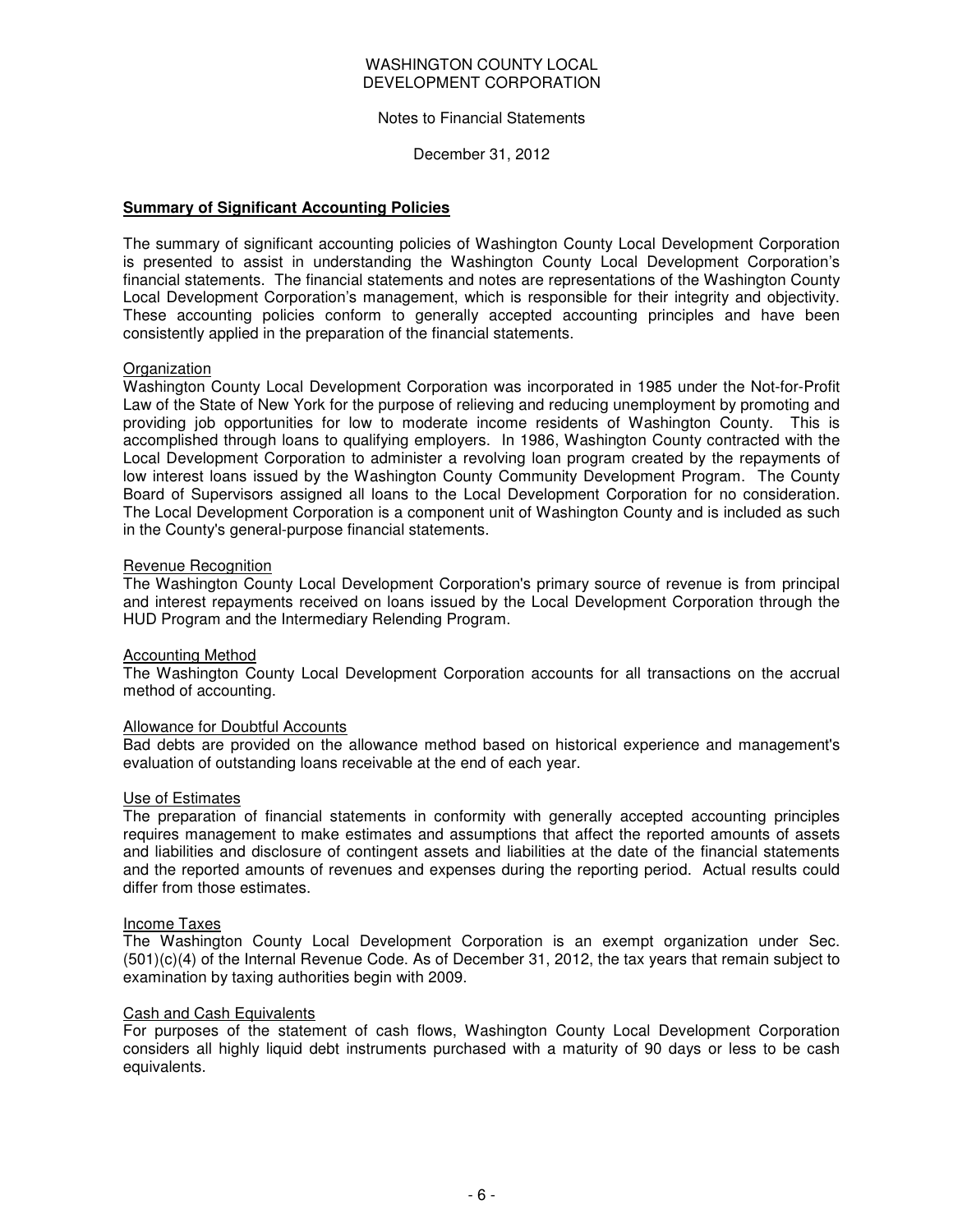#### Notes to Financial Statements

December 31, 2012

#### **Summary of Significant Accounting Policies**

The summary of significant accounting policies of Washington County Local Development Corporation is presented to assist in understanding the Washington County Local Development Corporation's financial statements. The financial statements and notes are representations of the Washington County Local Development Corporation's management, which is responsible for their integrity and objectivity. These accounting policies conform to generally accepted accounting principles and have been consistently applied in the preparation of the financial statements.

#### **Organization**

Washington County Local Development Corporation was incorporated in 1985 under the Not-for-Profit Law of the State of New York for the purpose of relieving and reducing unemployment by promoting and providing job opportunities for low to moderate income residents of Washington County. This is accomplished through loans to qualifying employers. In 1986, Washington County contracted with the Local Development Corporation to administer a revolving loan program created by the repayments of low interest loans issued by the Washington County Community Development Program. The County Board of Supervisors assigned all loans to the Local Development Corporation for no consideration. The Local Development Corporation is a component unit of Washington County and is included as such in the County's general-purpose financial statements.

#### Revenue Recognition

The Washington County Local Development Corporation's primary source of revenue is from principal and interest repayments received on loans issued by the Local Development Corporation through the HUD Program and the Intermediary Relending Program.

#### Accounting Method

The Washington County Local Development Corporation accounts for all transactions on the accrual method of accounting.

#### Allowance for Doubtful Accounts

Bad debts are provided on the allowance method based on historical experience and management's evaluation of outstanding loans receivable at the end of each year.

### Use of Estimates

The preparation of financial statements in conformity with generally accepted accounting principles requires management to make estimates and assumptions that affect the reported amounts of assets and liabilities and disclosure of contingent assets and liabilities at the date of the financial statements and the reported amounts of revenues and expenses during the reporting period. Actual results could differ from those estimates.

#### Income Taxes

The Washington County Local Development Corporation is an exempt organization under Sec. (501)(c)(4) of the Internal Revenue Code. As of December 31, 2012, the tax years that remain subject to examination by taxing authorities begin with 2009.

#### Cash and Cash Equivalents

For purposes of the statement of cash flows, Washington County Local Development Corporation considers all highly liquid debt instruments purchased with a maturity of 90 days or less to be cash equivalents.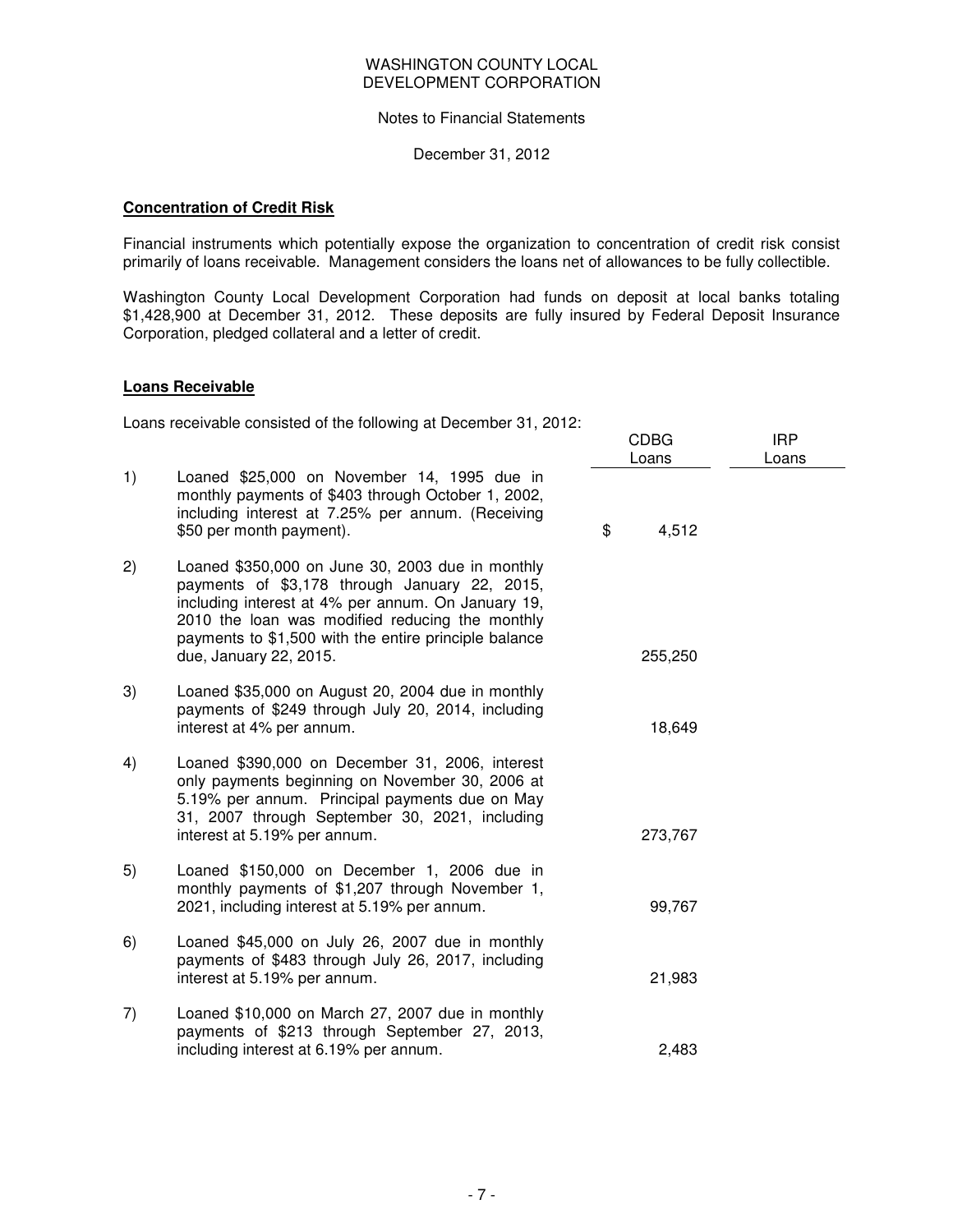#### Notes to Financial Statements

December 31, 2012

### **Concentration of Credit Risk**

Financial instruments which potentially expose the organization to concentration of credit risk consist primarily of loans receivable. Management considers the loans net of allowances to be fully collectible.

Washington County Local Development Corporation had funds on deposit at local banks totaling \$1,428,900 at December 31, 2012. These deposits are fully insured by Federal Deposit Insurance Corporation, pledged collateral and a letter of credit.

### **Loans Receivable**

Loans receivable consisted of the following at December 31, 2012:

|    |                                                                                                                                                                                                                                                                                               | <b>CDBG</b><br>Loans | <b>IRP</b><br>Loans |
|----|-----------------------------------------------------------------------------------------------------------------------------------------------------------------------------------------------------------------------------------------------------------------------------------------------|----------------------|---------------------|
| 1) | Loaned \$25,000 on November 14, 1995 due in<br>monthly payments of \$403 through October 1, 2002,<br>including interest at 7.25% per annum. (Receiving<br>\$50 per month payment).                                                                                                            | \$<br>4,512          |                     |
| 2) | Loaned \$350,000 on June 30, 2003 due in monthly<br>payments of \$3,178 through January 22, 2015,<br>including interest at 4% per annum. On January 19,<br>2010 the loan was modified reducing the monthly<br>payments to \$1,500 with the entire principle balance<br>due, January 22, 2015. | 255,250              |                     |
| 3) | Loaned \$35,000 on August 20, 2004 due in monthly<br>payments of \$249 through July 20, 2014, including<br>interest at 4% per annum.                                                                                                                                                          | 18,649               |                     |
| 4) | Loaned \$390,000 on December 31, 2006, interest<br>only payments beginning on November 30, 2006 at<br>5.19% per annum. Principal payments due on May<br>31, 2007 through September 30, 2021, including<br>interest at 5.19% per annum.                                                        | 273,767              |                     |
| 5) | Loaned \$150,000 on December 1, 2006 due in<br>monthly payments of \$1,207 through November 1,<br>2021, including interest at 5.19% per annum.                                                                                                                                                | 99,767               |                     |
| 6) | Loaned \$45,000 on July 26, 2007 due in monthly<br>payments of \$483 through July 26, 2017, including<br>interest at 5.19% per annum.                                                                                                                                                         | 21,983               |                     |
| 7) | Loaned \$10,000 on March 27, 2007 due in monthly<br>payments of \$213 through September 27, 2013,<br>including interest at 6.19% per annum.                                                                                                                                                   | 2,483                |                     |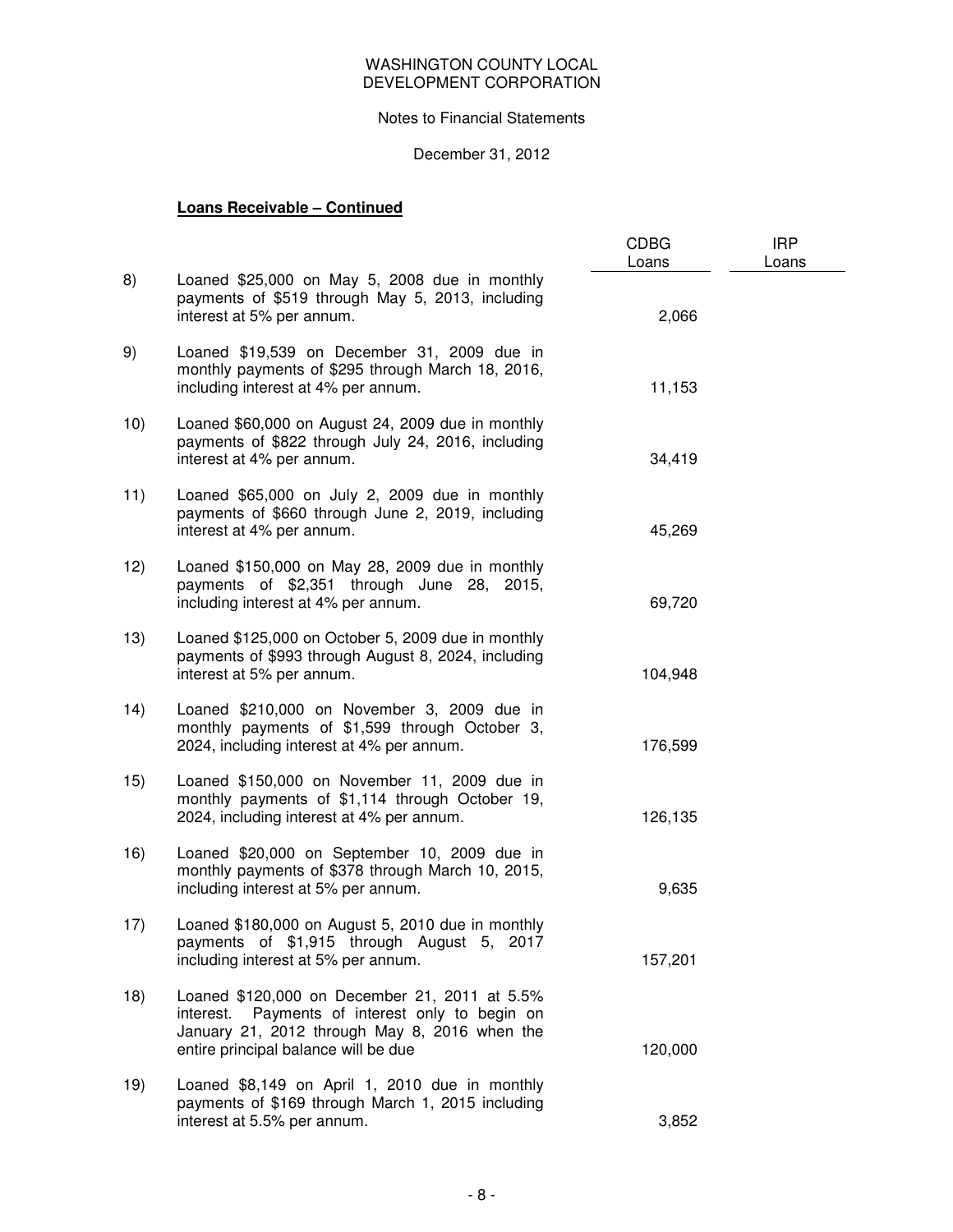## Notes to Financial Statements

## December 31, 2012

# **Loans Receivable – Continued**

|     |                                                                                                                                                                                              | <b>CDBG</b><br>Loans | <b>IRP</b><br>Loans |
|-----|----------------------------------------------------------------------------------------------------------------------------------------------------------------------------------------------|----------------------|---------------------|
| 8)  | Loaned \$25,000 on May 5, 2008 due in monthly<br>payments of \$519 through May 5, 2013, including<br>interest at 5% per annum.                                                               | 2,066                |                     |
| 9)  | Loaned \$19,539 on December 31, 2009 due in<br>monthly payments of \$295 through March 18, 2016,<br>including interest at 4% per annum.                                                      | 11,153               |                     |
| 10) | Loaned \$60,000 on August 24, 2009 due in monthly<br>payments of \$822 through July 24, 2016, including<br>interest at 4% per annum.                                                         | 34,419               |                     |
| 11) | Loaned \$65,000 on July 2, 2009 due in monthly<br>payments of \$660 through June 2, 2019, including<br>interest at 4% per annum.                                                             | 45,269               |                     |
| 12) | Loaned \$150,000 on May 28, 2009 due in monthly<br>payments of \$2,351 through June 28, 2015,<br>including interest at 4% per annum.                                                         | 69,720               |                     |
| 13) | Loaned \$125,000 on October 5, 2009 due in monthly<br>payments of \$993 through August 8, 2024, including<br>interest at 5% per annum.                                                       | 104,948              |                     |
| 14) | Loaned \$210,000 on November 3, 2009 due in<br>monthly payments of \$1,599 through October 3,<br>2024, including interest at 4% per annum.                                                   | 176,599              |                     |
| 15) | Loaned \$150,000 on November 11, 2009 due in<br>monthly payments of \$1,114 through October 19,<br>2024, including interest at 4% per annum.                                                 | 126,135              |                     |
| 16) | Loaned \$20,000 on September 10, 2009 due in<br>monthly payments of \$378 through March 10, 2015,<br>including interest at 5% per annum.                                                     | 9,635                |                     |
| 17) | Loaned \$180,000 on August 5, 2010 due in monthly<br>payments of \$1,915 through August 5, 2017<br>including interest at 5% per annum.                                                       | 157,201              |                     |
| 18) | Loaned \$120,000 on December 21, 2011 at 5.5%<br>Payments of interest only to begin on<br>interest.<br>January 21, 2012 through May 8, 2016 when the<br>entire principal balance will be due | 120,000              |                     |
| 19) | Loaned \$8,149 on April 1, 2010 due in monthly<br>payments of \$169 through March 1, 2015 including<br>interest at 5.5% per annum.                                                           | 3,852                |                     |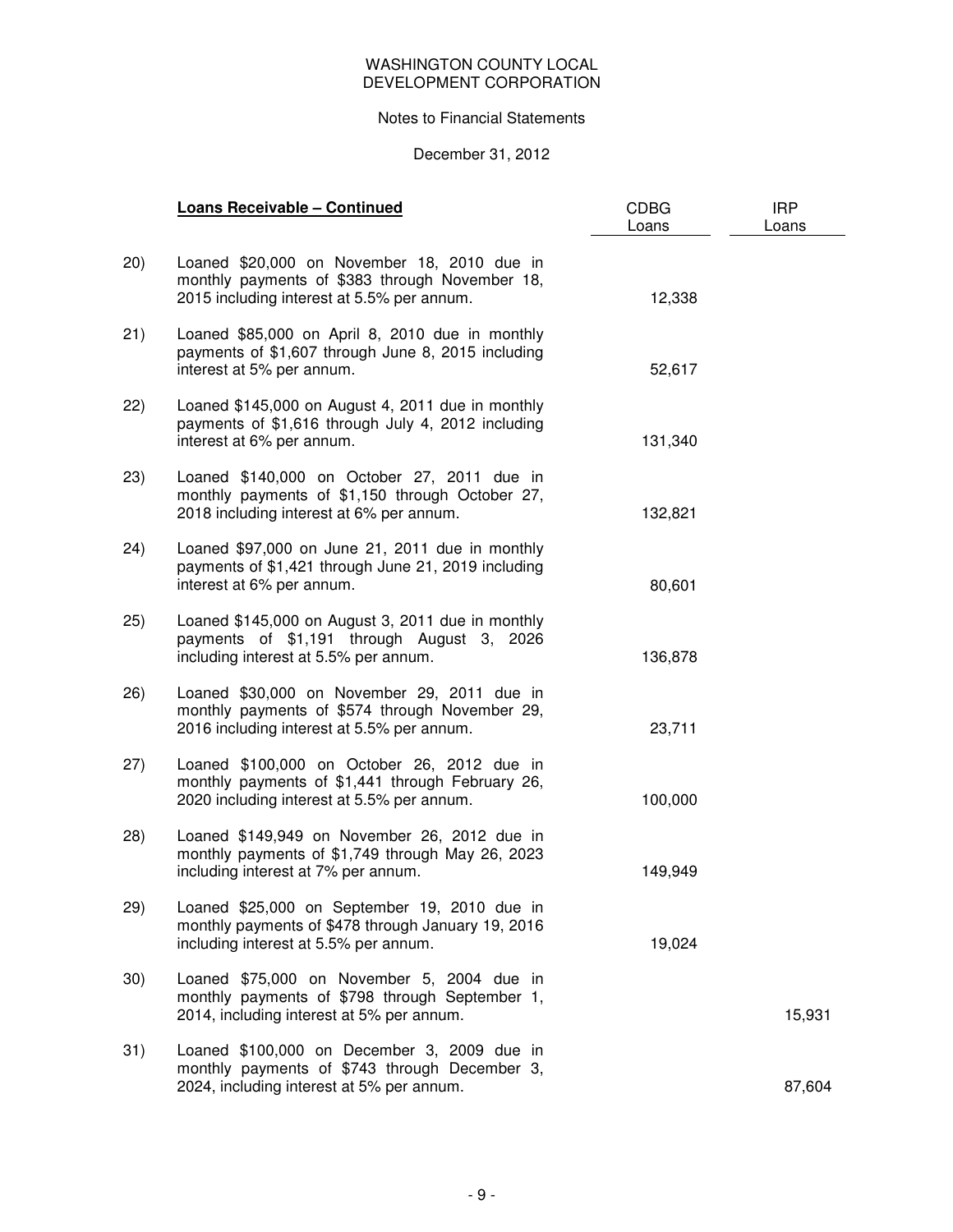## Notes to Financial Statements

## December 31, 2012

|      | <b>Loans Receivable - Continued</b>                                                                                                           | <b>CDBG</b><br>Loans | <b>IRP</b><br>Loans |
|------|-----------------------------------------------------------------------------------------------------------------------------------------------|----------------------|---------------------|
| 20)  | Loaned \$20,000 on November 18, 2010 due in<br>monthly payments of \$383 through November 18,<br>2015 including interest at 5.5% per annum.   | 12,338               |                     |
| 21)  | Loaned \$85,000 on April 8, 2010 due in monthly<br>payments of \$1,607 through June 8, 2015 including<br>interest at 5% per annum.            | 52,617               |                     |
| 22)  | Loaned \$145,000 on August 4, 2011 due in monthly<br>payments of \$1,616 through July 4, 2012 including<br>interest at 6% per annum.          | 131,340              |                     |
| (23) | Loaned \$140,000 on October 27, 2011 due in<br>monthly payments of \$1,150 through October 27,<br>2018 including interest at 6% per annum.    | 132,821              |                     |
| 24)  | Loaned \$97,000 on June 21, 2011 due in monthly<br>payments of \$1,421 through June 21, 2019 including<br>interest at 6% per annum.           | 80,601               |                     |
| 25)  | Loaned \$145,000 on August 3, 2011 due in monthly<br>payments of \$1,191 through August 3, 2026<br>including interest at 5.5% per annum.      | 136,878              |                     |
| 26)  | Loaned \$30,000 on November 29, 2011 due in<br>monthly payments of \$574 through November 29,<br>2016 including interest at 5.5% per annum.   | 23,711               |                     |
| 27)  | Loaned \$100,000 on October 26, 2012 due in<br>monthly payments of \$1,441 through February 26,<br>2020 including interest at 5.5% per annum. | 100,000              |                     |
| 28)  | Loaned \$149,949 on November 26, 2012 due in<br>monthly payments of \$1,749 through May 26, 2023<br>including interest at 7% per annum.       | 149,949              |                     |
| 29)  | Loaned \$25,000 on September 19, 2010 due in<br>monthly payments of \$478 through January 19, 2016<br>including interest at 5.5% per annum.   | 19,024               |                     |
| 30)  | Loaned \$75,000 on November 5, 2004 due in<br>monthly payments of \$798 through September 1,<br>2014, including interest at 5% per annum.     |                      | 15,931              |
| 31)  | Loaned \$100,000 on December 3, 2009 due in<br>monthly payments of \$743 through December 3,<br>2024, including interest at 5% per annum.     |                      | 87,604              |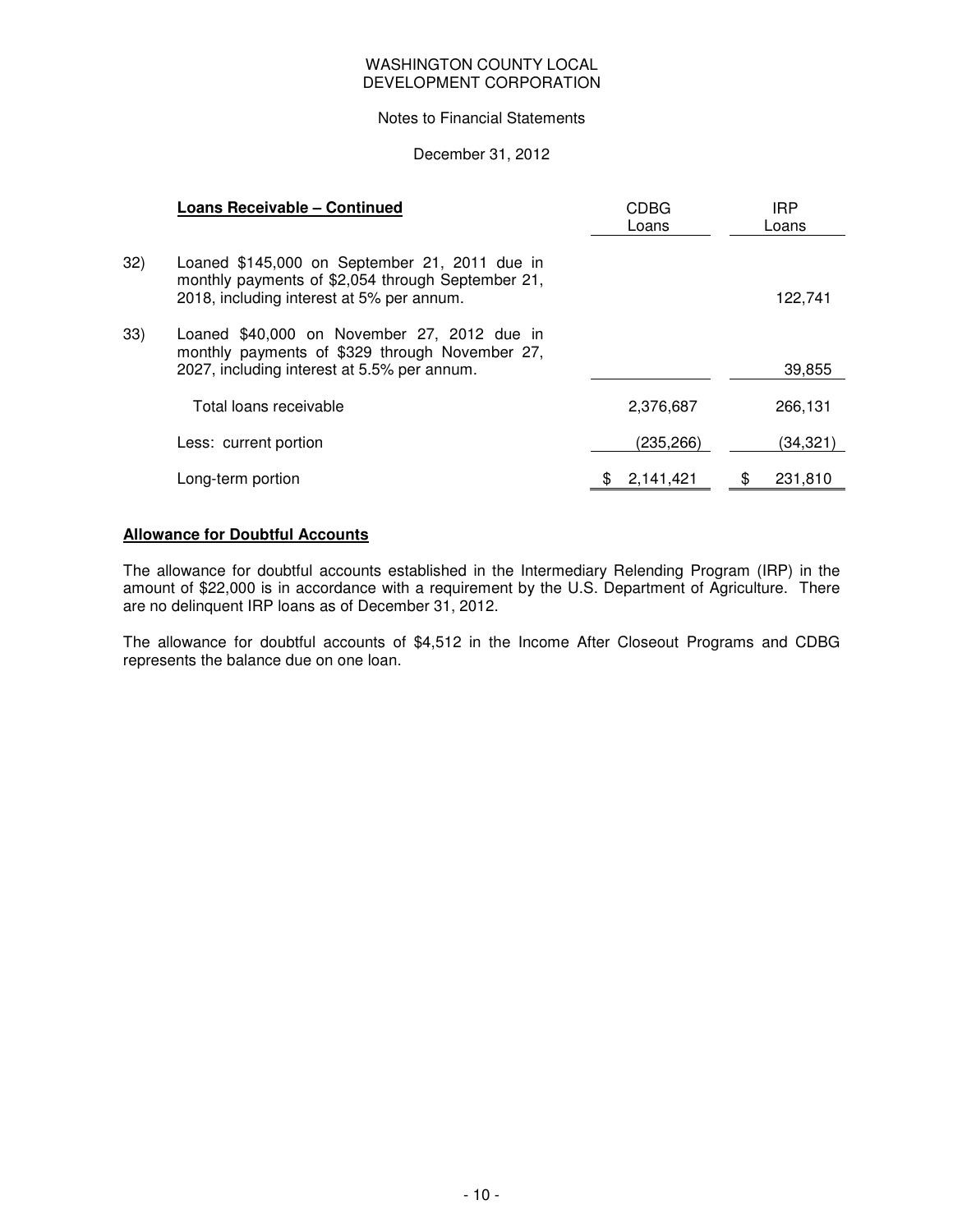### Notes to Financial Statements

### December 31, 2012

|     | <b>Loans Receivable - Continued</b>                                                                                                             | <b>CDBG</b><br>Loans | <b>IRP</b><br>Loans |
|-----|-------------------------------------------------------------------------------------------------------------------------------------------------|----------------------|---------------------|
| 32) | Loaned \$145,000 on September 21, 2011 due in<br>monthly payments of \$2,054 through September 21,<br>2018, including interest at 5% per annum. |                      | 122,741             |
| 33) | Loaned \$40,000 on November 27, 2012 due in<br>monthly payments of \$329 through November 27,<br>2027, including interest at 5.5% per annum.    |                      | 39,855              |
|     | Total loans receivable                                                                                                                          | 2,376,687            | 266,131             |
|     | Less: current portion                                                                                                                           | (235, 266)           | (34,321)            |
|     | Long-term portion                                                                                                                               | 2,141,421            | 231,810<br>S        |

## **Allowance for Doubtful Accounts**

The allowance for doubtful accounts established in the Intermediary Relending Program (IRP) in the amount of \$22,000 is in accordance with a requirement by the U.S. Department of Agriculture. There are no delinquent IRP loans as of December 31, 2012.

The allowance for doubtful accounts of \$4,512 in the Income After Closeout Programs and CDBG represents the balance due on one loan.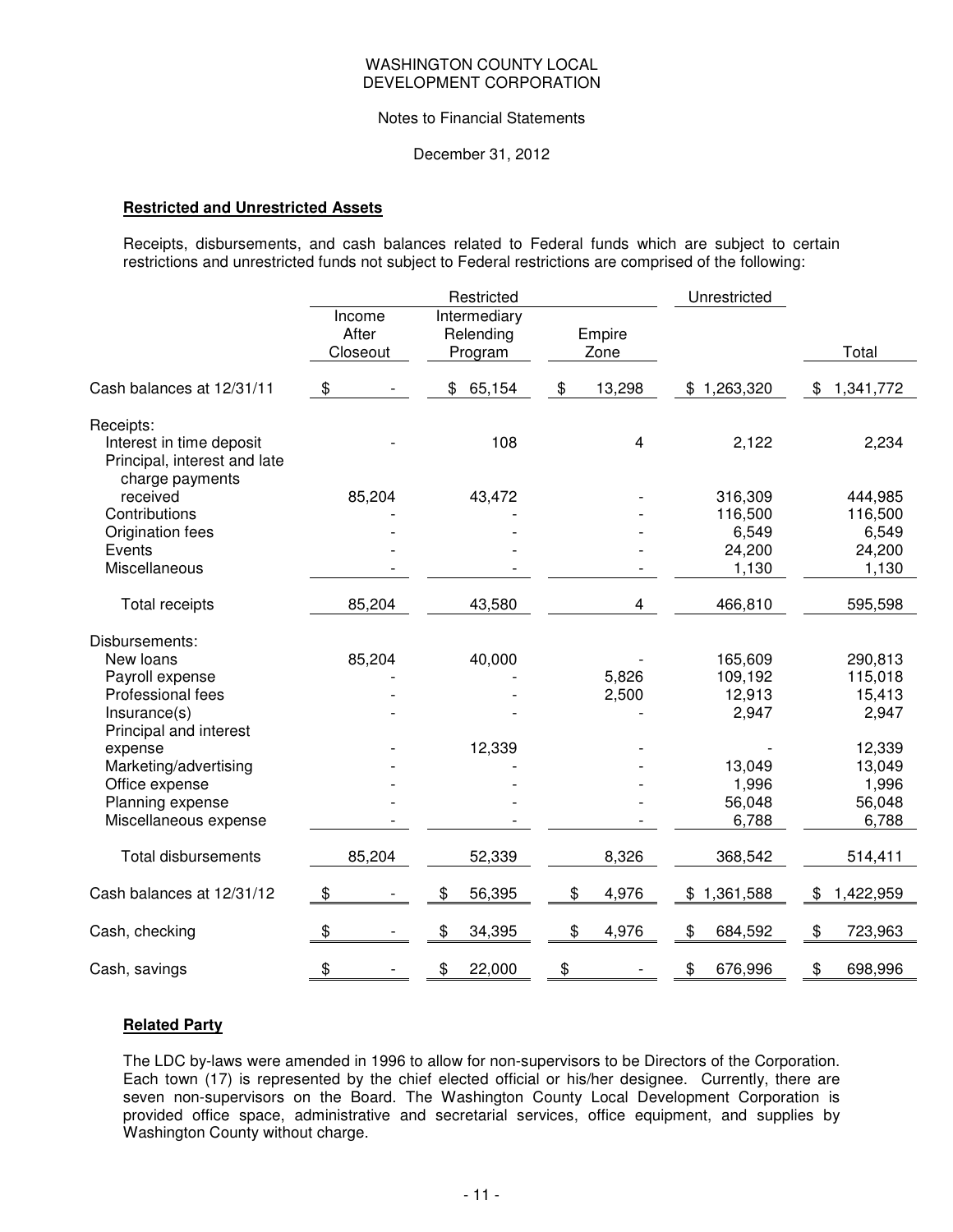#### Notes to Financial Statements

December 31, 2012

### **Restricted and Unrestricted Assets**

Receipts, disbursements, and cash balances related to Federal funds which are subject to certain restrictions and unrestricted funds not subject to Federal restrictions are comprised of the following:

|                                                                             |                       |        | Restricted                |                | Unrestricted       |                    |
|-----------------------------------------------------------------------------|-----------------------|--------|---------------------------|----------------|--------------------|--------------------|
|                                                                             | Income<br>After       |        | Intermediary<br>Relending | Empire         |                    |                    |
|                                                                             | Closeout              |        | Program                   | Zone           |                    | Total              |
| Cash balances at 12/31/11                                                   | \$                    |        | \$<br>65,154              | \$<br>13,298   | \$1,263,320        | \$<br>1,341,772    |
| Receipts:                                                                   |                       |        |                           |                |                    |                    |
| Interest in time deposit<br>Principal, interest and late<br>charge payments |                       |        | 108                       | $\overline{4}$ | 2,122              | 2,234              |
| received                                                                    |                       | 85,204 | 43,472                    |                | 316,309            | 444,985            |
| Contributions                                                               |                       |        |                           |                | 116,500            | 116,500            |
| Origination fees                                                            |                       |        |                           |                | 6,549              | 6,549              |
| Events                                                                      |                       |        |                           |                | 24,200             | 24,200             |
| Miscellaneous                                                               |                       |        |                           |                | 1,130              | 1,130              |
| Total receipts                                                              |                       | 85,204 | 43,580                    | 4              | 466,810            | 595,598            |
|                                                                             |                       |        |                           |                |                    |                    |
| Disbursements:                                                              |                       |        |                           |                |                    |                    |
| New loans<br>Payroll expense                                                |                       | 85,204 | 40,000                    | 5,826          | 165,609<br>109,192 | 290,813<br>115,018 |
| Professional fees                                                           |                       |        |                           | 2,500          | 12,913             | 15,413             |
| Insurance(s)                                                                |                       |        |                           |                | 2,947              | 2,947              |
| Principal and interest                                                      |                       |        |                           |                |                    |                    |
| expense                                                                     |                       |        | 12,339                    |                |                    | 12,339             |
| Marketing/advertising                                                       |                       |        |                           |                | 13,049             | 13,049             |
| Office expense                                                              |                       |        |                           |                | 1,996              | 1,996              |
| Planning expense                                                            |                       |        |                           |                | 56,048             | 56,048             |
| Miscellaneous expense                                                       |                       |        |                           |                | 6,788              | 6,788              |
| <b>Total disbursements</b>                                                  |                       | 85,204 | 52,339                    | 8,326          | 368,542            | 514,411            |
| Cash balances at 12/31/12                                                   | $\boldsymbol{\theta}$ |        | \$<br>56,395              | \$<br>4,976    | \$<br>1,361,588    | \$<br>1,422,959    |
|                                                                             |                       |        |                           |                |                    |                    |
| Cash, checking                                                              | \$                    |        | \$<br>34,395              | \$<br>4,976    | \$<br>684,592      | \$<br>723,963      |
| Cash, savings                                                               | \$                    |        | \$<br>22,000              | \$             | \$<br>676,996      | \$<br>698,996      |

### **Related Party**

The LDC by-laws were amended in 1996 to allow for non-supervisors to be Directors of the Corporation. Each town (17) is represented by the chief elected official or his/her designee. Currently, there are seven non-supervisors on the Board. The Washington County Local Development Corporation is provided office space, administrative and secretarial services, office equipment, and supplies by Washington County without charge.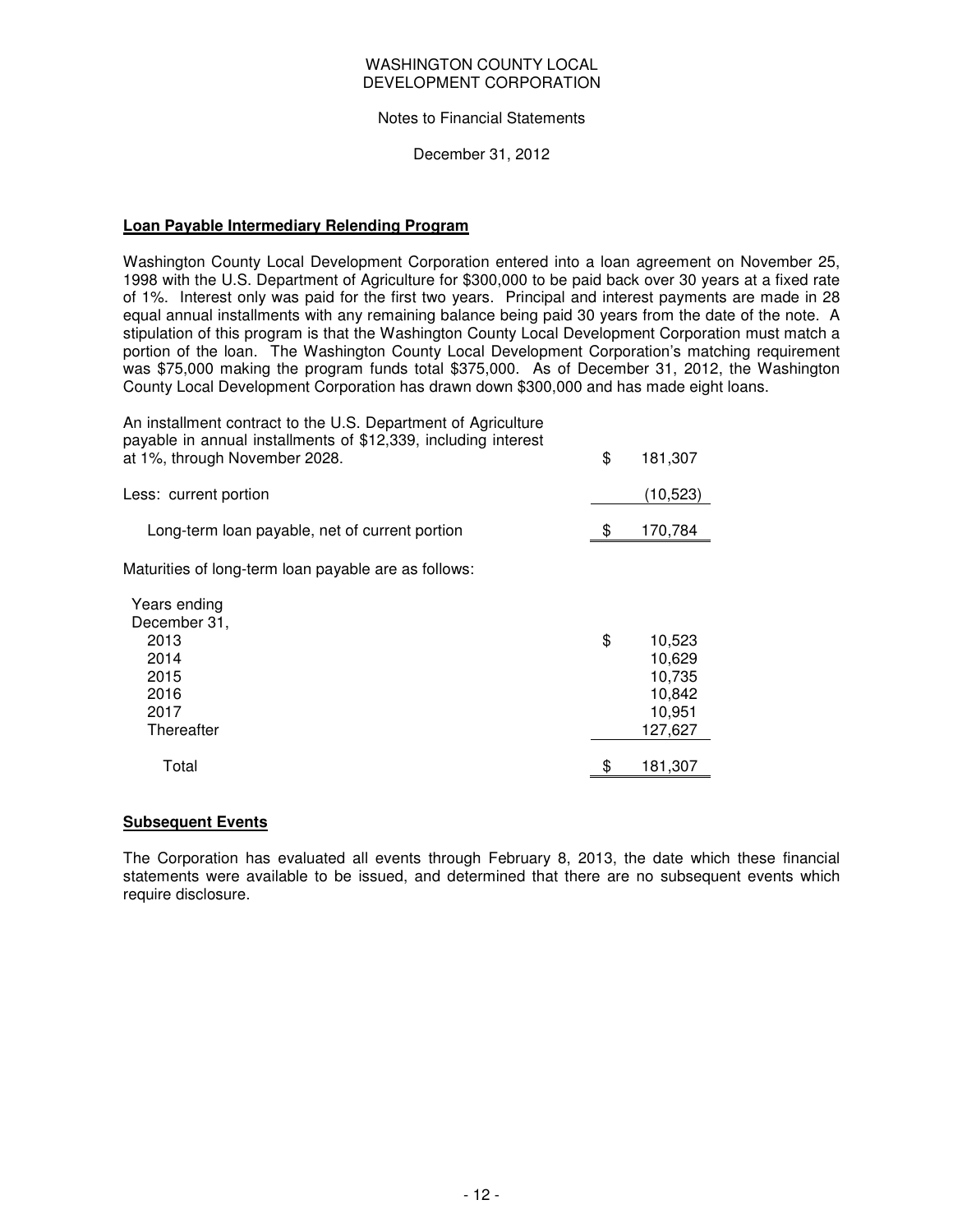#### Notes to Financial Statements

December 31, 2012

### **Loan Payable Intermediary Relending Program**

Washington County Local Development Corporation entered into a loan agreement on November 25, 1998 with the U.S. Department of Agriculture for \$300,000 to be paid back over 30 years at a fixed rate of 1%. Interest only was paid for the first two years. Principal and interest payments are made in 28 equal annual installments with any remaining balance being paid 30 years from the date of the note. A stipulation of this program is that the Washington County Local Development Corporation must match a portion of the loan. The Washington County Local Development Corporation's matching requirement was \$75,000 making the program funds total \$375,000. As of December 31, 2012, the Washington County Local Development Corporation has drawn down \$300,000 and has made eight loans.

| An installment contract to the U.S. Department of Agriculture<br>payable in annual installments of \$12,339, including interest<br>at 1%, through November 2028. | \$<br>181,307                                                   |
|------------------------------------------------------------------------------------------------------------------------------------------------------------------|-----------------------------------------------------------------|
| Less: current portion                                                                                                                                            | (10, 523)                                                       |
| Long-term loan payable, net of current portion                                                                                                                   | 170,784                                                         |
| Maturities of long-term loan payable are as follows:                                                                                                             |                                                                 |
| Years ending<br>December 31,<br>2013<br>2014<br>2015<br>2016<br>2017<br>Thereafter                                                                               | \$<br>10,523<br>10,629<br>10,735<br>10,842<br>10,951<br>127,627 |
| Total                                                                                                                                                            | 181,307                                                         |

#### **Subsequent Events**

The Corporation has evaluated all events through February 8, 2013, the date which these financial statements were available to be issued, and determined that there are no subsequent events which require disclosure.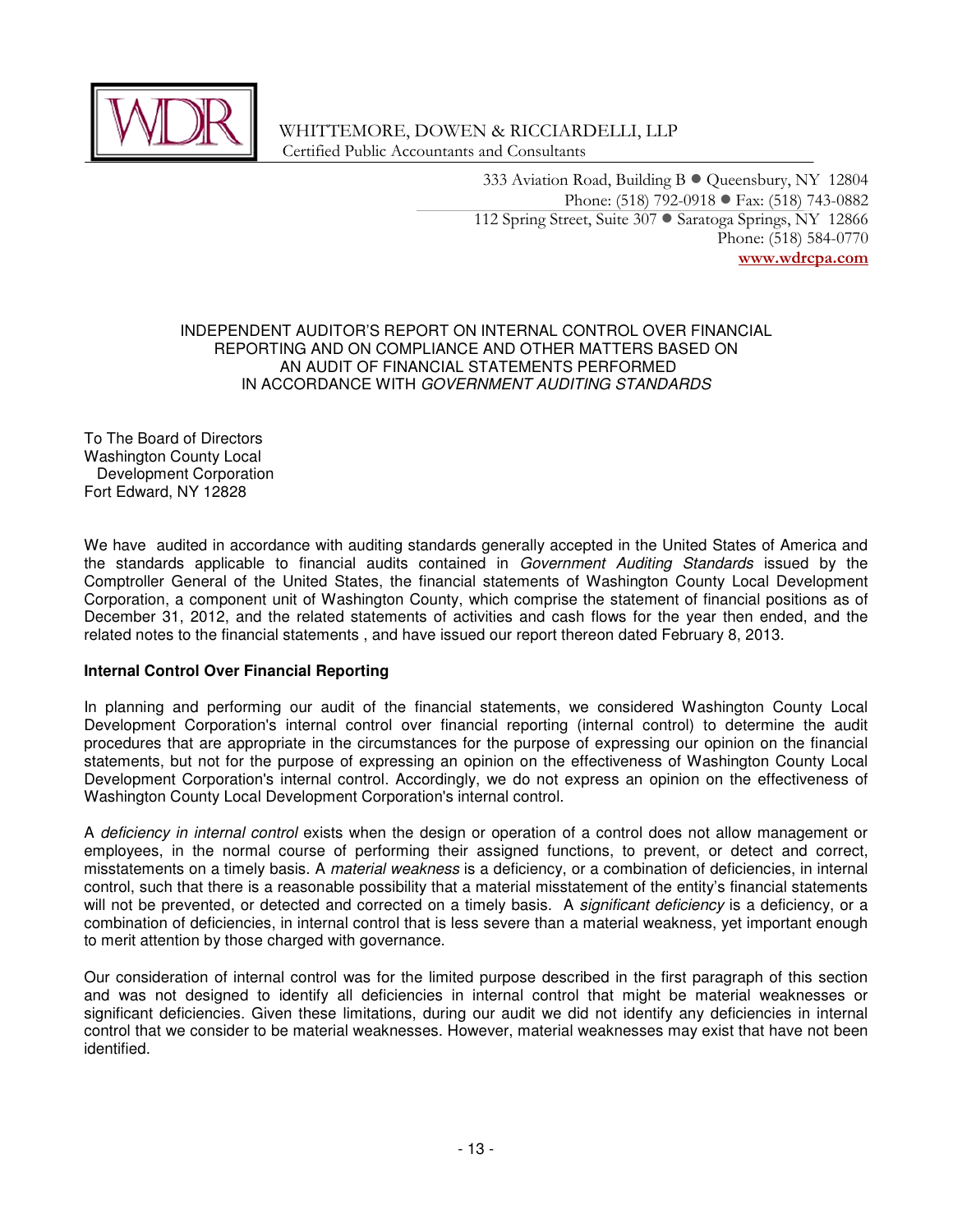

\_

WHITTEMORE, DOWEN & RICCIARDELLI, LLP Certified Public Accountants and Consultants

> 333 Aviation Road, Building B ● Queensbury, NY 12804 Phone: (518) 792-0918 Fax: (518) 743-0882 112 Spring Street, Suite 307 Saratoga Springs, NY 12866 Phone: (518) 584-0770 www.wdrcpa.com

### INDEPENDENT AUDITOR'S REPORT ON INTERNAL CONTROL OVER FINANCIAL REPORTING AND ON COMPLIANCE AND OTHER MATTERS BASED ON AN AUDIT OF FINANCIAL STATEMENTS PERFORMED IN ACCORDANCE WITH GOVERNMENT AUDITING STANDARDS

To The Board of Directors Washington County Local Development Corporation Fort Edward, NY 12828

We have audited in accordance with auditing standards generally accepted in the United States of America and the standards applicable to financial audits contained in Government Auditing Standards issued by the Comptroller General of the United States, the financial statements of Washington County Local Development Corporation, a component unit of Washington County, which comprise the statement of financial positions as of December 31, 2012, and the related statements of activities and cash flows for the year then ended, and the related notes to the financial statements , and have issued our report thereon dated February 8, 2013.

## **Internal Control Over Financial Reporting**

In planning and performing our audit of the financial statements, we considered Washington County Local Development Corporation's internal control over financial reporting (internal control) to determine the audit procedures that are appropriate in the circumstances for the purpose of expressing our opinion on the financial statements, but not for the purpose of expressing an opinion on the effectiveness of Washington County Local Development Corporation's internal control. Accordingly, we do not express an opinion on the effectiveness of Washington County Local Development Corporation's internal control.

A deficiency in internal control exists when the design or operation of a control does not allow management or employees, in the normal course of performing their assigned functions, to prevent, or detect and correct, misstatements on a timely basis. A material weakness is a deficiency, or a combination of deficiencies, in internal control, such that there is a reasonable possibility that a material misstatement of the entity's financial statements will not be prevented, or detected and corrected on a timely basis. A significant deficiency is a deficiency, or a combination of deficiencies, in internal control that is less severe than a material weakness, yet important enough to merit attention by those charged with governance.

Our consideration of internal control was for the limited purpose described in the first paragraph of this section and was not designed to identify all deficiencies in internal control that might be material weaknesses or significant deficiencies. Given these limitations, during our audit we did not identify any deficiencies in internal control that we consider to be material weaknesses. However, material weaknesses may exist that have not been identified.